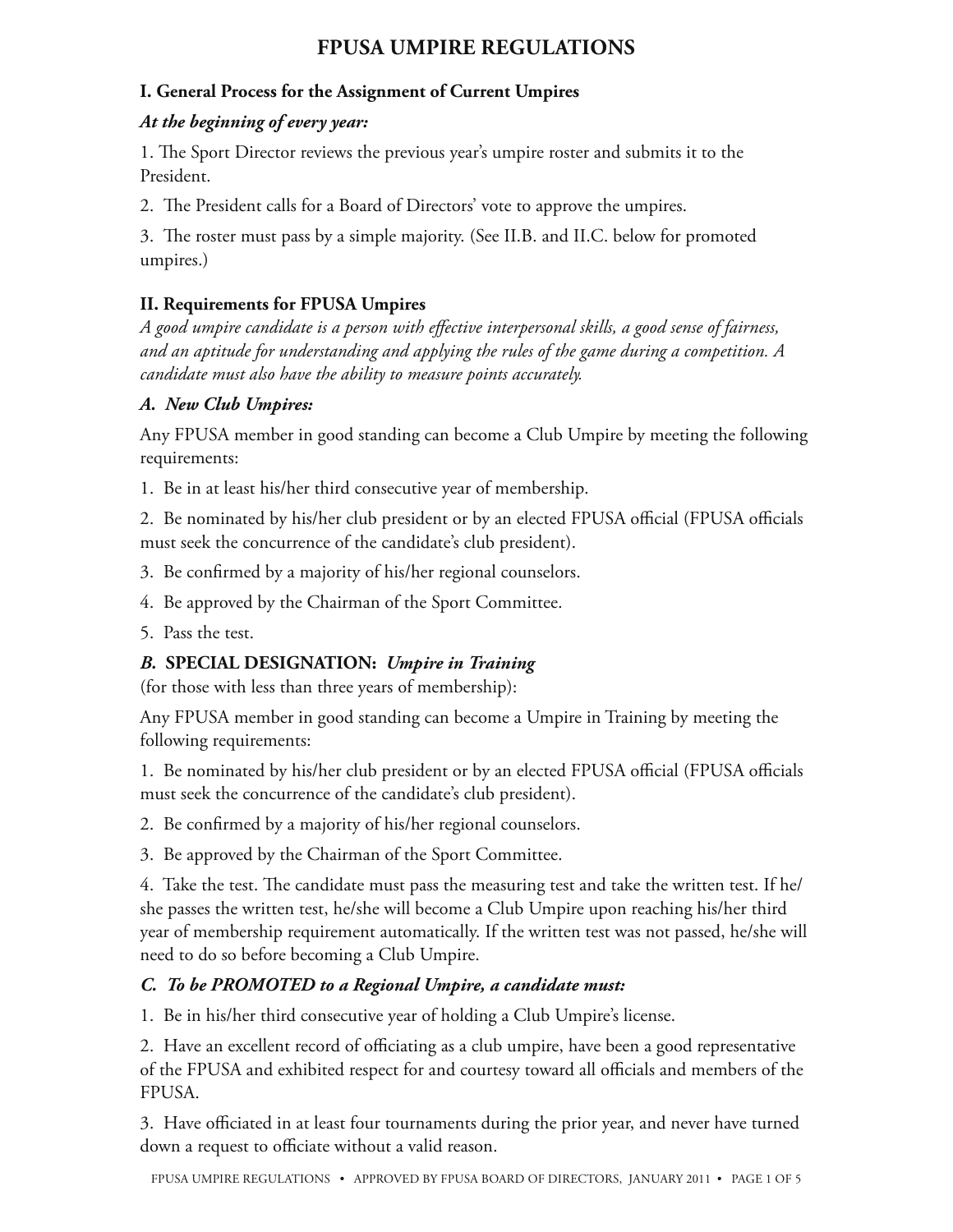#### **I. General Process for the Assignment of Current Umpires**

#### *At the beginning of every year:*

1. The Sport Director reviews the previous year's umpire roster and submits it to the President.

2. The President calls for a Board of Directors' vote to approve the umpires.

3. The roster must pass by a simple majority. (See II.B. and II.C. below for promoted umpires.)

### **II. Requirements for FPUSA Umpires**

*A good umpire candidate is a person with effective interpersonal skills, a good sense of fairness, and an aptitude for understanding and applying the rules of the game during a competition. A candidate must also have the ability to measure points accurately.* 

#### *A. New Club Umpires:*

Any FPUSA member in good standing can become a Club Umpire by meeting the following requirements:

1. Be in at least his/her third consecutive year of membership.

2. Be nominated by his/her club president or by an elected FPUSA official (FPUSA officials must seek the concurrence of the candidate's club president).

3. Be confirmed by a majority of his/her regional counselors.

4. Be approved by the Chairman of the Sport Committee.

5. Pass the test.

# *B.* **SPECIAL DESIGNATION:** *Umpire in Training*

(for those with less than three years of membership):

Any FPUSA member in good standing can become a Umpire in Training by meeting the following requirements:

1. Be nominated by his/her club president or by an elected FPUSA official (FPUSA officials must seek the concurrence of the candidate's club president).

2. Be confirmed by a majority of his/her regional counselors.

3. Be approved by the Chairman of the Sport Committee.

4. Take the test. The candidate must pass the measuring test and take the written test. If he/ she passes the written test, he/she will become a Club Umpire upon reaching his/her third year of membership requirement automatically. If the written test was not passed, he/she will need to do so before becoming a Club Umpire.

### *C. To be PROMOTED to a Regional Umpire, a candidate must:*

1. Be in his/her third consecutive year of holding a Club Umpire's license.

2. Have an excellent record of officiating as a club umpire, have been a good representative of the FPUSA and exhibited respect for and courtesy toward all officials and members of the FPUSA.

3. Have officiated in at least four tournaments during the prior year, and never have turned down a request to officiate without a valid reason.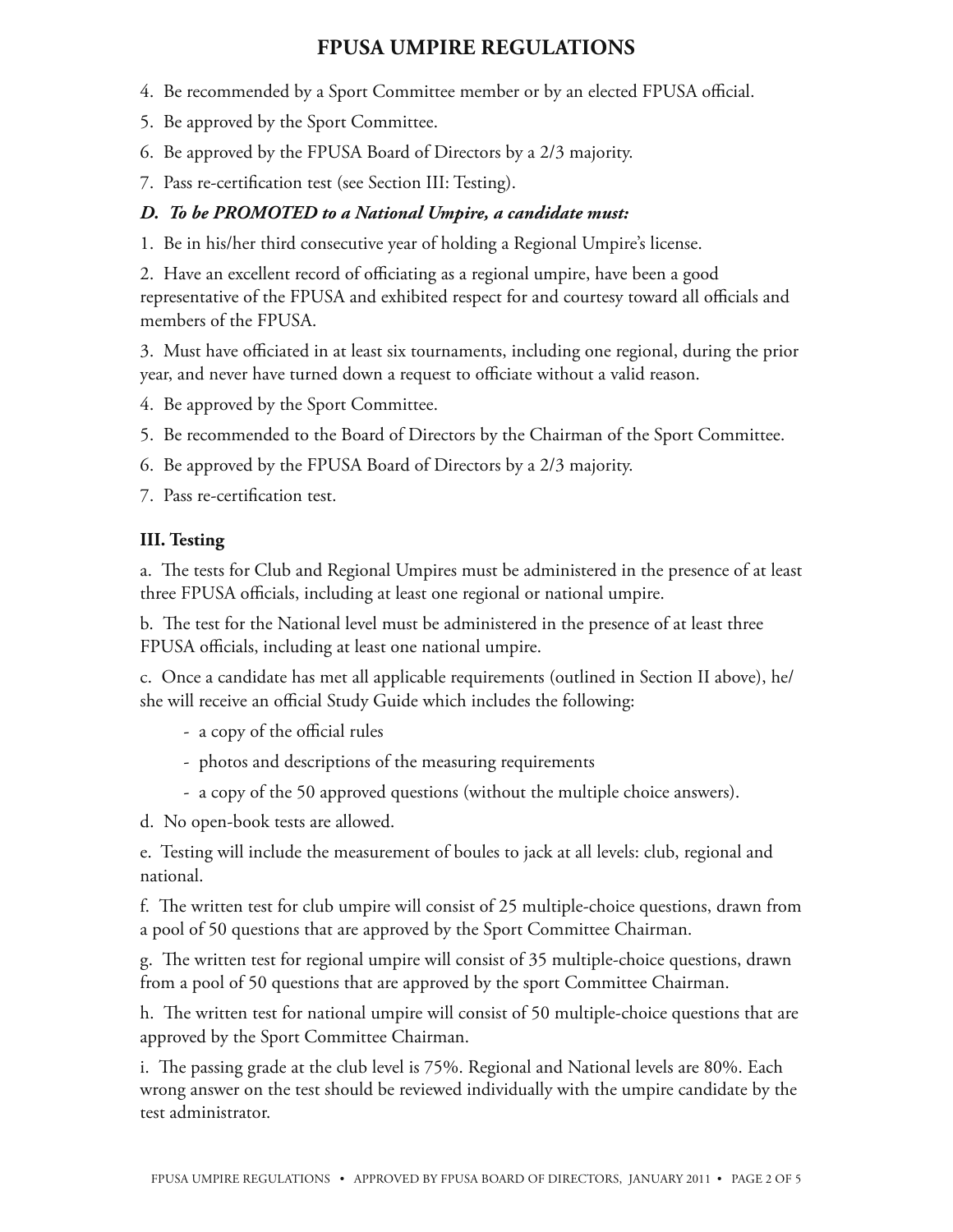- 4. Be recommended by a Sport Committee member or by an elected FPUSA official.
- 5. Be approved by the Sport Committee.
- 6. Be approved by the FPUSA Board of Directors by a 2/3 majority.
- 7. Pass re-certification test (see Section III: Testing).

#### *D. To be PROMOTED to a National Umpire, a candidate must:*

1. Be in his/her third consecutive year of holding a Regional Umpire's license.

2. Have an excellent record of officiating as a regional umpire, have been a good representative of the FPUSA and exhibited respect for and courtesy toward all officials and members of the FPUSA.

3. Must have officiated in at least six tournaments, including one regional, during the prior year, and never have turned down a request to officiate without a valid reason.

4. Be approved by the Sport Committee.

- 5. Be recommended to the Board of Directors by the Chairman of the Sport Committee.
- 6. Be approved by the FPUSA Board of Directors by a 2/3 majority.
- 7. Pass re-certification test.

#### **III. Testing**

a. The tests for Club and Regional Umpires must be administered in the presence of at least three FPUSA officials, including at least one regional or national umpire.

b. The test for the National level must be administered in the presence of at least three FPUSA officials, including at least one national umpire.

c. Once a candidate has met all applicable requirements (outlined in Section II above), he/ she will receive an official Study Guide which includes the following:

- a copy of the official rules
- photos and descriptions of the measuring requirements
- a copy of the 50 approved questions (without the multiple choice answers).

d. No open-book tests are allowed.

e. Testing will include the measurement of boules to jack at all levels: club, regional and national.

f. The written test for club umpire will consist of 25 multiple-choice questions, drawn from a pool of 50 questions that are approved by the Sport Committee Chairman.

g. The written test for regional umpire will consist of 35 multiple-choice questions, drawn from a pool of 50 questions that are approved by the sport Committee Chairman.

h. The written test for national umpire will consist of 50 multiple-choice questions that are approved by the Sport Committee Chairman.

i. The passing grade at the club level is 75%. Regional and National levels are 80%. Each wrong answer on the test should be reviewed individually with the umpire candidate by the test administrator.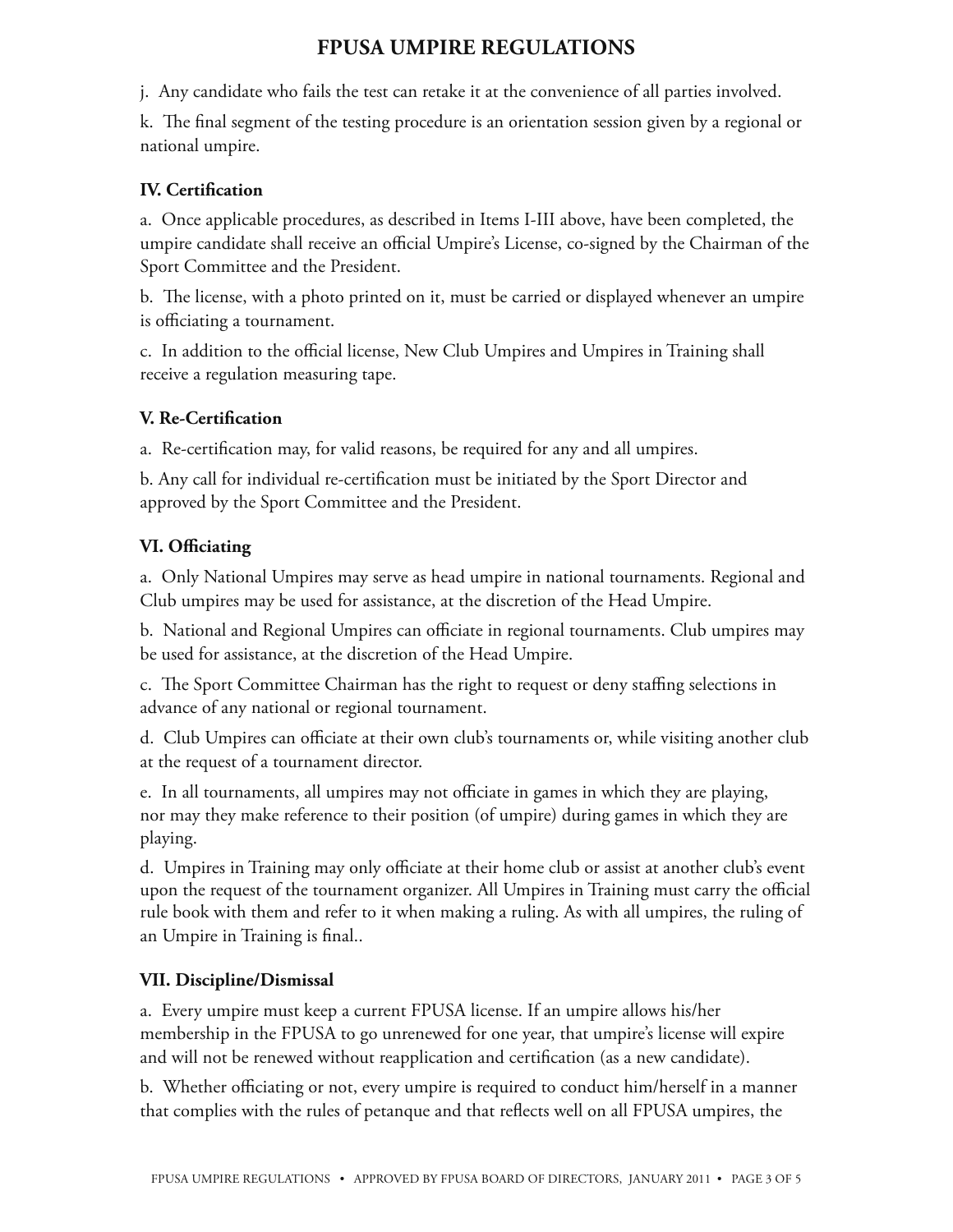j. Any candidate who fails the test can retake it at the convenience of all parties involved.

k. The final segment of the testing procedure is an orientation session given by a regional or national umpire.

### **IV. Certification**

a. Once applicable procedures, as described in Items I-III above, have been completed, the umpire candidate shall receive an official Umpire's License, co-signed by the Chairman of the Sport Committee and the President.

b. The license, with a photo printed on it, must be carried or displayed whenever an umpire is officiating a tournament.

c. In addition to the official license, New Club Umpires and Umpires in Training shall receive a regulation measuring tape.

### **V. Re-Certification**

a. Re-certification may, for valid reasons, be required for any and all umpires.

b. Any call for individual re-certification must be initiated by the Sport Director and approved by the Sport Committee and the President.

### **VI. Officiating**

a. Only National Umpires may serve as head umpire in national tournaments. Regional and Club umpires may be used for assistance, at the discretion of the Head Umpire.

b. National and Regional Umpires can officiate in regional tournaments. Club umpires may be used for assistance, at the discretion of the Head Umpire.

c. The Sport Committee Chairman has the right to request or deny staffing selections in advance of any national or regional tournament.

d. Club Umpires can officiate at their own club's tournaments or, while visiting another club at the request of a tournament director.

e. In all tournaments, all umpires may not officiate in games in which they are playing, nor may they make reference to their position (of umpire) during games in which they are playing.

d. Umpires in Training may only officiate at their home club or assist at another club's event upon the request of the tournament organizer. All Umpires in Training must carry the official rule book with them and refer to it when making a ruling. As with all umpires, the ruling of an Umpire in Training is final..

### **VII. Discipline/Dismissal**

a. Every umpire must keep a current FPUSA license. If an umpire allows his/her membership in the FPUSA to go unrenewed for one year, that umpire's license will expire and will not be renewed without reapplication and certification (as a new candidate).

b. Whether officiating or not, every umpire is required to conduct him/herself in a manner that complies with the rules of petanque and that reflects well on all FPUSA umpires, the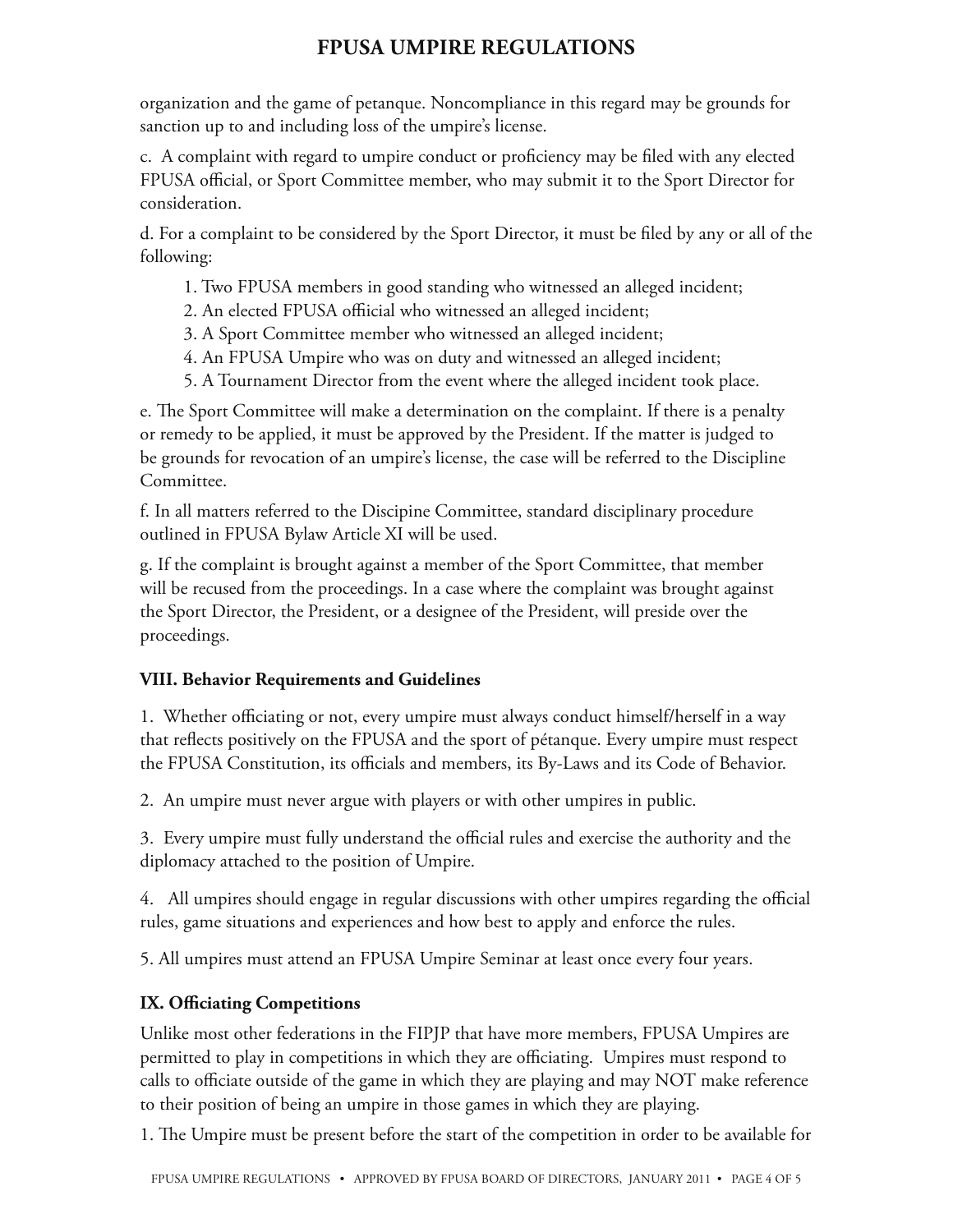organization and the game of petanque. Noncompliance in this regard may be grounds for sanction up to and including loss of the umpire's license.

c. A complaint with regard to umpire conduct or proficiency may be filed with any elected FPUSA official, or Sport Committee member, who may submit it to the Sport Director for consideration.

d. For a complaint to be considered by the Sport Director, it must be filed by any or all of the following:

- 1. Two FPUSA members in good standing who witnessed an alleged incident;
- 2. An elected FPUSA offiicial who witnessed an alleged incident;
- 3. A Sport Committee member who witnessed an alleged incident;
- 4. An FPUSA Umpire who was on duty and witnessed an alleged incident;
- 5. A Tournament Director from the event where the alleged incident took place.

e. The Sport Committee will make a determination on the complaint. If there is a penalty or remedy to be applied, it must be approved by the President. If the matter is judged to be grounds for revocation of an umpire's license, the case will be referred to the Discipline Committee.

f. In all matters referred to the Discipine Committee, standard disciplinary procedure outlined in FPUSA Bylaw Article XI will be used.

g. If the complaint is brought against a member of the Sport Committee, that member will be recused from the proceedings. In a case where the complaint was brought against the Sport Director, the President, or a designee of the President, will preside over the proceedings.

### **VIII. Behavior Requirements and Guidelines**

1. Whether officiating or not, every umpire must always conduct himself/herself in a way that reflects positively on the FPUSA and the sport of pétanque. Every umpire must respect the FPUSA Constitution, its officials and members, its By-Laws and its Code of Behavior.

2. An umpire must never argue with players or with other umpires in public.

3. Every umpire must fully understand the official rules and exercise the authority and the diplomacy attached to the position of Umpire.

4. All umpires should engage in regular discussions with other umpires regarding the official rules, game situations and experiences and how best to apply and enforce the rules.

5. All umpires must attend an FPUSA Umpire Seminar at least once every four years.

# **IX. Officiating Competitions**

Unlike most other federations in the FIPJP that have more members, FPUSA Umpires are permitted to play in competitions in which they are officiating. Umpires must respond to calls to officiate outside of the game in which they are playing and may NOT make reference to their position of being an umpire in those games in which they are playing.

1. The Umpire must be present before the start of the competition in order to be available for